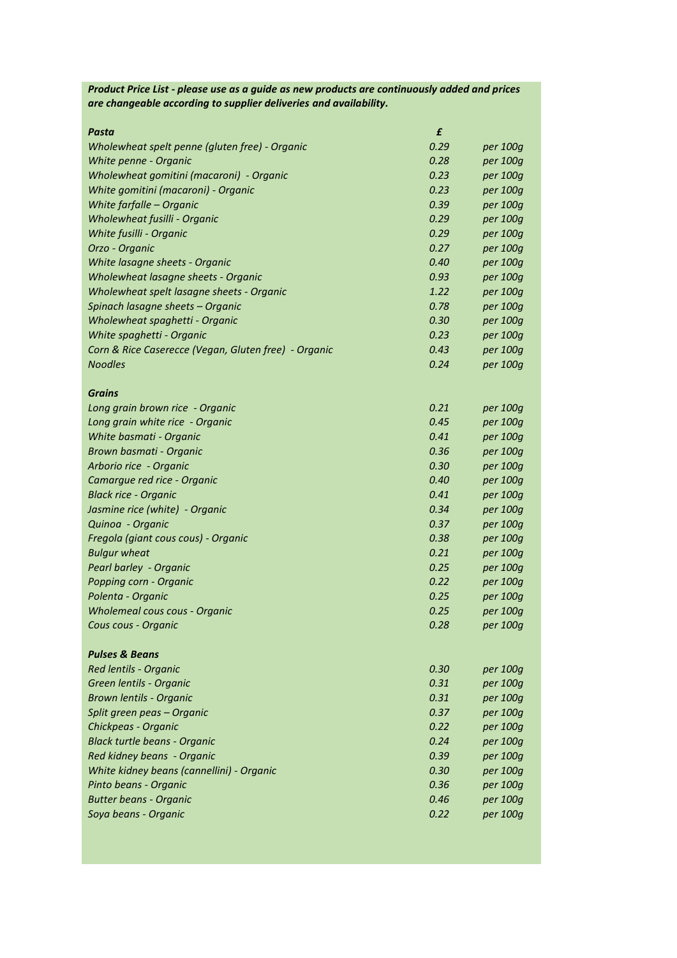| are changeable according to supplier deliveries and availability. |      |                      |
|-------------------------------------------------------------------|------|----------------------|
| Pasta                                                             | £    |                      |
| Wholewheat spelt penne (gluten free) - Organic                    | 0.29 | per 100g             |
| White penne - Organic                                             | 0.28 | per 100g             |
| Wholewheat gomitini (macaroni) - Organic                          | 0.23 | per 100g             |
| White gomitini (macaroni) - Organic                               | 0.23 | per 100g             |
| White farfalle - Organic                                          | 0.39 | per 100g             |
| Wholewheat fusilli - Organic                                      | 0.29 | per 100g             |
| White fusilli - Organic                                           | 0.29 | per 100g             |
| Orzo - Organic                                                    | 0.27 | per 100g             |
| White lasagne sheets - Organic                                    | 0.40 | per 100g             |
| Wholewheat lasagne sheets - Organic                               | 0.93 | per 100g             |
| Wholewheat spelt lasagne sheets - Organic                         | 1.22 | per 100g             |
| Spinach lasagne sheets - Organic                                  | 0.78 | per 100g             |
| Wholewheat spaghetti - Organic                                    | 0.30 | per 100g             |
| White spaghetti - Organic                                         | 0.23 | per 100g             |
| Corn & Rice Caserecce (Vegan, Gluten free) - Organic              | 0.43 | per 100g             |
| <b>Noodles</b>                                                    | 0.24 | per 100g             |
|                                                                   |      |                      |
| <b>Grains</b>                                                     |      |                      |
| Long grain brown rice - Organic                                   | 0.21 | per 100g             |
| Long grain white rice - Organic                                   | 0.45 | per 100g             |
| White basmati - Organic                                           | 0.41 | per 100g             |
| Brown basmati - Organic                                           | 0.36 | per 100g             |
| Arborio rice - Organic                                            | 0.30 | per 100g             |
| Camargue red rice - Organic                                       | 0.40 | per 100g             |
| <b>Black rice - Organic</b>                                       | 0.41 | per 100g             |
| Jasmine rice (white) - Organic                                    | 0.34 | per 100g             |
| Quinoa - Organic                                                  | 0.37 | per 100g             |
| Fregola (giant cous cous) - Organic                               | 0.38 | per 100g             |
| <b>Bulgur wheat</b>                                               | 0.21 | per 100g             |
| Pearl barley - Organic                                            | 0.25 | per 100g             |
| Popping corn - Organic                                            | 0.22 | per 100g             |
| Polenta - Organic                                                 | 0.25 | per 100g             |
| <b>Wholemeal cous cous - Organic</b>                              | 0.25 | per 100g             |
| Cous cous - Organic                                               | 0.28 | per 100g             |
| <b>Pulses &amp; Beans</b>                                         |      |                      |
| Red lentils - Organic                                             | 0.30 |                      |
| Green lentils - Organic                                           | 0.31 | per 100g<br>per 100g |
| Brown lentils - Organic                                           | 0.31 |                      |
|                                                                   |      | per 100g             |
| Split green peas – Organic                                        | 0.37 | per 100g             |
| Chickpeas - Organic                                               | 0.22 | per 100g             |
| <b>Black turtle beans - Organic</b>                               | 0.24 | per 100g             |
| Red kidney beans - Organic                                        | 0.39 | per 100g             |
| White kidney beans (cannellini) - Organic                         | 0.30 | per 100g             |
| Pinto beans - Organic                                             | 0.36 | per 100g             |
| <b>Butter beans - Organic</b>                                     | 0.46 | per 100g             |
| Soya beans - Organic                                              | 0.22 | per 100g             |

*Product Price List - please use as a guide as new products are continuously added and prices*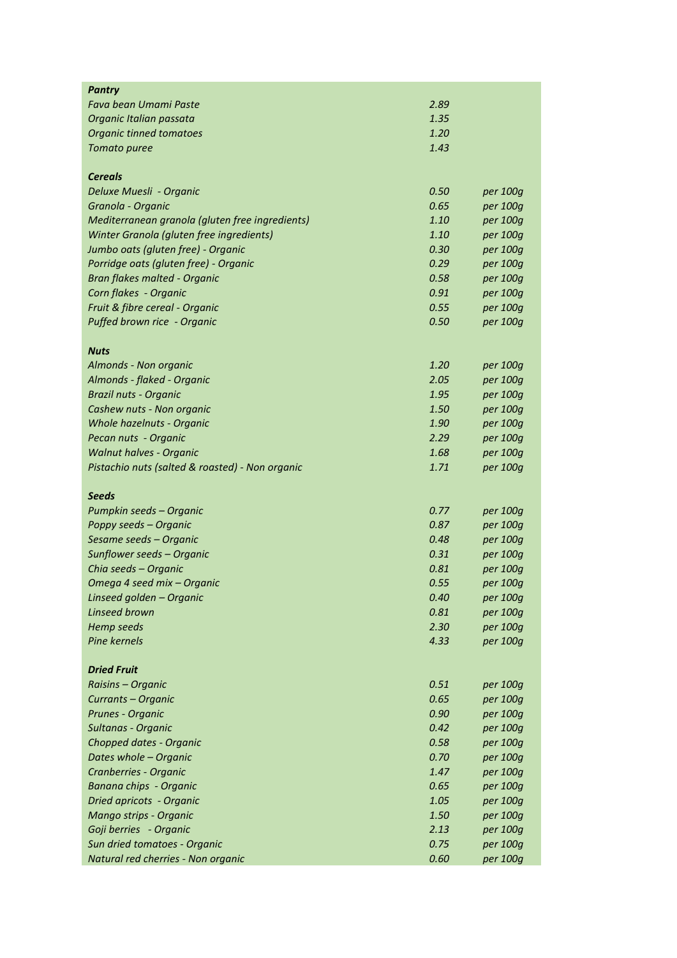| <b>Pantry</b>                                   |      |          |
|-------------------------------------------------|------|----------|
| Fava bean Umami Paste                           | 2.89 |          |
| Organic Italian passata                         | 1.35 |          |
| Organic tinned tomatoes                         | 1.20 |          |
| Tomato puree                                    | 1.43 |          |
|                                                 |      |          |
| <b>Cereals</b>                                  |      |          |
| Deluxe Muesli - Organic                         | 0.50 | per 100g |
| Granola - Organic                               | 0.65 | per 100g |
| Mediterranean granola (gluten free ingredients) | 1.10 | per 100g |
| Winter Granola (gluten free ingredients)        | 1.10 | per 100g |
| Jumbo oats (gluten free) - Organic              | 0.30 | per 100g |
| Porridge oats (gluten free) - Organic           | 0.29 | per 100g |
| Bran flakes malted - Organic                    | 0.58 | per 100g |
| Corn flakes - Organic                           | 0.91 | per 100g |
| Fruit & fibre cereal - Organic                  | 0.55 | per 100g |
| Puffed brown rice - Organic                     | 0.50 | per 100g |
|                                                 |      |          |
| <b>Nuts</b>                                     |      |          |
| Almonds - Non organic                           | 1.20 | per 100g |
| Almonds - flaked - Organic                      | 2.05 | per 100g |
| Brazil nuts - Organic                           | 1.95 | per 100g |
| Cashew nuts - Non organic                       | 1.50 | per 100g |
| Whole hazelnuts - Organic                       | 1.90 | per 100g |
| Pecan nuts - Organic                            | 2.29 | per 100g |
| <b>Walnut halves - Organic</b>                  | 1.68 | per 100g |
| Pistachio nuts (salted & roasted) - Non organic | 1.71 | per 100g |
| Seeds                                           |      |          |
| Pumpkin seeds – Organic                         | 0.77 | per 100g |
| Poppy seeds - Organic                           | 0.87 | per 100g |
| Sesame seeds – Organic                          | 0.48 | per 100g |
| Sunflower seeds – Organic                       | 0.31 | per 100g |
| Chia seeds - Organic                            | 0.81 | per 100g |
| Omega 4 seed mix - Organic                      | 0.55 | per 100g |
| Linseed golden - Organic                        | 0.40 | per 100g |
| Linseed brown                                   | 0.81 | per 100g |
| <b>Hemp seeds</b>                               | 2.30 | per 100g |
| Pine kernels                                    | 4.33 | per 100g |
|                                                 |      |          |
| <b>Dried Fruit</b>                              |      |          |
| Raisins - Organic                               | 0.51 | per 100g |
| Currants - Organic                              | 0.65 | per 100g |
| Prunes - Organic                                | 0.90 | per 100g |
| Sultanas - Organic                              | 0.42 | per 100g |
| Chopped dates - Organic                         | 0.58 | per 100g |
| Dates whole - Organic                           | 0.70 | per 100g |
| Cranberries - Organic                           | 1.47 | per 100g |
| Banana chips - Organic                          | 0.65 | per 100g |
| Dried apricots - Organic                        | 1.05 | per 100g |
| Mango strips - Organic                          | 1.50 | per 100g |
| Goji berries - Organic                          | 2.13 | per 100g |
| Sun dried tomatoes - Organic                    | 0.75 | per 100g |
| Natural red cherries - Non organic              | 0.60 | per 100g |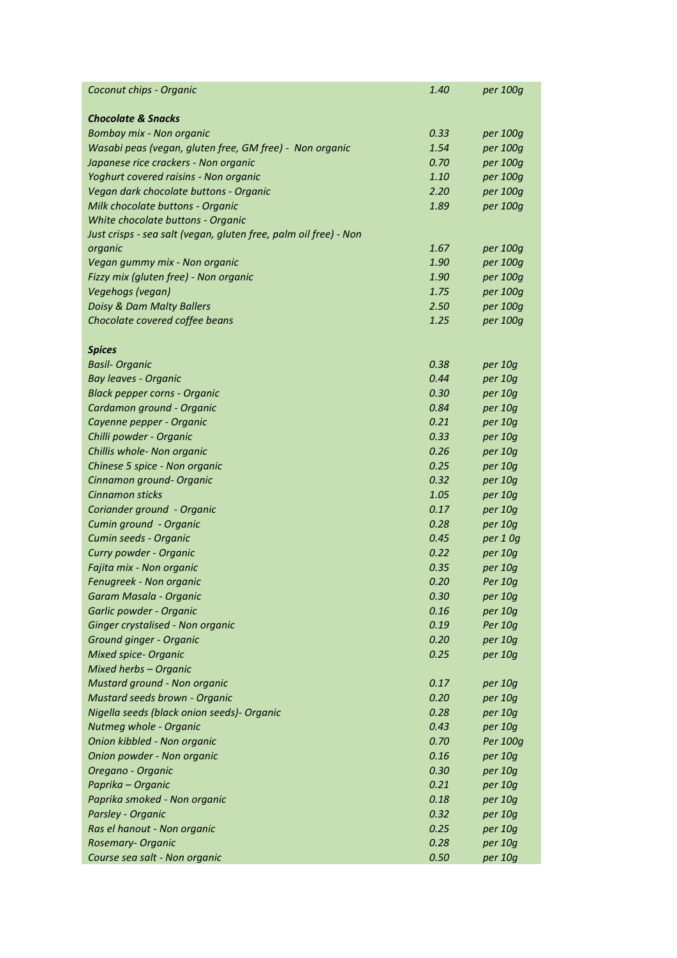| Coconut chips - Organic                                          | 1.40 | per 100g |
|------------------------------------------------------------------|------|----------|
|                                                                  |      |          |
| <b>Chocolate &amp; Snacks</b>                                    |      |          |
| Bombay mix - Non organic                                         | 0.33 | per 100g |
| Wasabi peas (vegan, gluten free, GM free) - Non organic          | 1.54 | per 100g |
| Japanese rice crackers - Non organic                             | 0.70 | per 100g |
| Yoghurt covered raisins - Non organic                            | 1.10 | per 100g |
| Vegan dark chocolate buttons - Organic                           | 2.20 | per 100g |
| Milk chocolate buttons - Organic                                 | 1.89 | per 100g |
| White chocolate buttons - Organic                                |      |          |
| Just crisps - sea salt (vegan, gluten free, palm oil free) - Non |      |          |
| organic                                                          | 1.67 | per 100g |
| Vegan gummy mix - Non organic                                    | 1.90 | per 100g |
| Fizzy mix (gluten free) - Non organic                            | 1.90 | per 100g |
| Vegehogs (vegan)                                                 | 1.75 | per 100g |
| Doisy & Dam Malty Ballers                                        | 2.50 | per 100g |
| Chocolate covered coffee beans                                   | 1.25 | per 100g |
| <b>Spices</b>                                                    |      |          |
| <b>Basil-Organic</b>                                             | 0.38 | per 10g  |
| Bay leaves - Organic                                             | 0.44 | per 10g  |
| <b>Black pepper corns - Organic</b>                              | 0.30 | per 10g  |
| Cardamon ground - Organic                                        | 0.84 | per 10g  |
| Cayenne pepper - Organic                                         | 0.21 | per 10g  |
| Chilli powder - Organic                                          | 0.33 | per 10g  |
| Chillis whole- Non organic                                       | 0.26 | per 10g  |
| Chinese 5 spice - Non organic                                    | 0.25 | per 10g  |
| Cinnamon ground- Organic                                         | 0.32 | per 10g  |
| Cinnamon sticks                                                  | 1.05 | per 10g  |
| Coriander ground - Organic                                       | 0.17 | per 10g  |
| Cumin ground - Organic                                           | 0.28 | per 10g  |
| Cumin seeds - Organic                                            | 0.45 | per 1 Og |
| Curry powder - Organic                                           | 0.22 | per 10g  |
| Fajita mix - Non organic                                         | 0.35 | per 10g  |
| Fenugreek - Non organic                                          | 0.20 | Per 10g  |
| Garam Masala - Organic                                           | 0.30 | per 10g  |
| Garlic powder - Organic                                          | 0.16 | per 10g  |
| Ginger crystalised - Non organic                                 | 0.19 | Per 10g  |
| Ground ginger - Organic                                          | 0.20 | per 10g  |
| <b>Mixed spice- Organic</b>                                      | 0.25 | per 10g  |
| Mixed herbs - Organic                                            |      |          |
| Mustard ground - Non organic                                     | 0.17 | per 10g  |
| Mustard seeds brown - Organic                                    | 0.20 | per 10g  |
| Nigella seeds (black onion seeds)- Organic                       | 0.28 | per 10g  |
| Nutmeg whole - Organic                                           | 0.43 | per 10g  |
| Onion kibbled - Non organic                                      | 0.70 | Per 100g |
| Onion powder - Non organic                                       | 0.16 | per 10g  |
| Oregano - Organic                                                | 0.30 | per 10g  |
| Paprika - Organic                                                | 0.21 | per 10g  |
| Paprika smoked - Non organic                                     | 0.18 | per 10g  |
| Parsley - Organic                                                | 0.32 | per 10g  |
| Ras el hanout - Non organic                                      | 0.25 | per 10g  |
| Rosemary- Organic                                                | 0.28 | per 10g  |
| Course sea salt - Non organic                                    | 0.50 | per 10g  |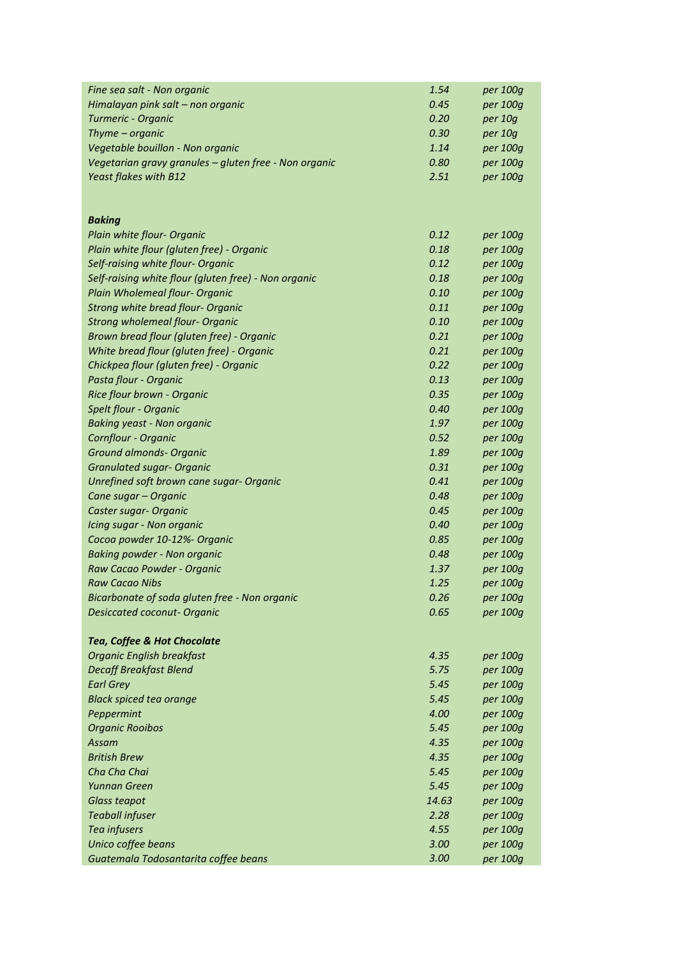| Fine sea salt - Non organic                           | 1.54  | per 100g |
|-------------------------------------------------------|-------|----------|
| Himalayan pink salt - non organic                     | 0.45  | per 100g |
| Turmeric - Organic                                    | 0.20  | per 10g  |
| Thyme - organic                                       | 0.30  | per 10g  |
| Vegetable bouillon - Non organic                      | 1.14  | per 100g |
| Vegetarian gravy granules - gluten free - Non organic | 0.80  | per 100g |
| Yeast flakes with B12                                 | 2.51  | per 100g |
|                                                       |       |          |
|                                                       |       |          |
| <b>Baking</b>                                         |       |          |
| Plain white flour- Organic                            | 0.12  | per 100g |
| Plain white flour (gluten free) - Organic             | 0.18  | per 100g |
| Self-raising white flour- Organic                     | 0.12  | per 100g |
| Self-raising white flour (gluten free) - Non organic  | 0.18  | per 100g |
| Plain Wholemeal flour- Organic                        | 0.10  | per 100g |
| Strong white bread flour- Organic                     | 0.11  | per 100g |
| <b>Strong wholemeal flour- Organic</b>                | 0.10  | per 100g |
| Brown bread flour (gluten free) - Organic             | 0.21  | per 100g |
| White bread flour (gluten free) - Organic             | 0.21  | per 100g |
| Chickpea flour (gluten free) - Organic                | 0.22  | per 100g |
| Pasta flour - Organic                                 | 0.13  | per 100g |
| Rice flour brown - Organic                            | 0.35  | per 100g |
| <b>Spelt flour - Organic</b>                          | 0.40  | per 100g |
| <b>Baking yeast - Non organic</b>                     | 1.97  | per 100g |
| Cornflour - Organic                                   | 0.52  | per 100g |
| <b>Ground almonds- Organic</b>                        | 1.89  | per 100g |
| <b>Granulated sugar- Organic</b>                      | 0.31  | per 100g |
| Unrefined soft brown cane sugar- Organic              | 0.41  | per 100g |
| Cane sugar – Organic                                  | 0.48  | per 100g |
| Caster sugar- Organic                                 | 0.45  | per 100g |
| Icing sugar - Non organic                             | 0.40  | per 100g |
| Cocoa powder 10-12%- Organic                          | 0.85  | per 100g |
| <b>Baking powder - Non organic</b>                    | 0.48  | per 100g |
| Raw Cacao Powder - Organic                            | 1.37  | per 100g |
| <b>Raw Cacao Nibs</b>                                 | 1.25  | per 100g |
| Bicarbonate of soda gluten free - Non organic         | 0.26  | per 100g |
| <b>Desiccated coconut- Organic</b>                    | 0.65  | per 100g |
| Tea, Coffee & Hot Chocolate                           |       |          |
| <b>Organic English breakfast</b>                      | 4.35  | per 100g |
| <b>Decaff Breakfast Blend</b>                         | 5.75  | per 100g |
| <b>Earl Grey</b>                                      | 5.45  | per 100g |
| <b>Black spiced tea orange</b>                        | 5.45  | per 100g |
| Peppermint                                            | 4.00  | per 100g |
| <b>Organic Rooibos</b>                                | 5.45  | per 100g |
| Assam                                                 | 4.35  | per 100g |
| <b>British Brew</b>                                   | 4.35  | per 100g |
| Cha Cha Chai                                          | 5.45  | per 100g |
| Yunnan Green                                          | 5.45  | per 100g |
| <b>Glass teapot</b>                                   | 14.63 | per 100g |
| <b>Teaball infuser</b>                                | 2.28  | per 100g |
| Tea infusers                                          | 4.55  | per 100g |
| Unico coffee beans                                    | 3.00  | per 100g |
| Guatemala Todosantarita coffee beans                  | 3.00  | per 100g |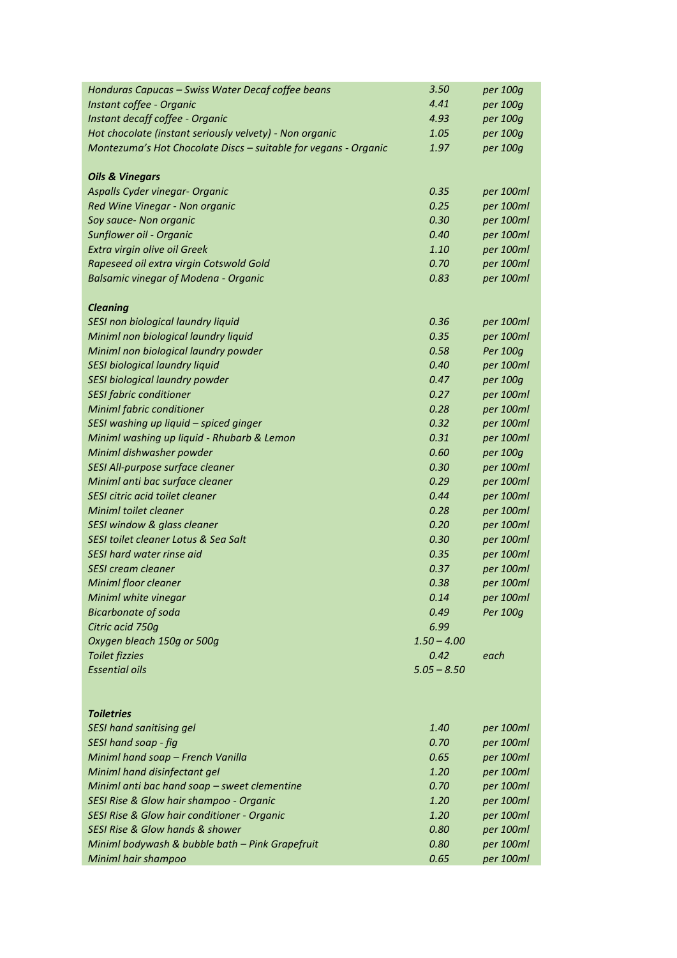| Honduras Capucas - Swiss Water Decaf coffee beans               | 3.50          | per 100g              |
|-----------------------------------------------------------------|---------------|-----------------------|
| Instant coffee - Organic                                        | 4.41          | per 100g              |
| Instant decaff coffee - Organic                                 | 4.93          | per 100g              |
| Hot chocolate (instant seriously velvety) - Non organic         | 1.05          | per 100g              |
| Montezuma's Hot Chocolate Discs - suitable for vegans - Organic | 1.97          | per 100g              |
|                                                                 |               |                       |
| <b>Oils &amp; Vinegars</b>                                      |               |                       |
| Aspalls Cyder vinegar- Organic                                  | 0.35          | per 100ml             |
| Red Wine Vinegar - Non organic                                  | 0.25          | per 100ml             |
| Soy sauce- Non organic                                          | 0.30          | per 100ml             |
| Sunflower oil - Organic                                         | 0.40          | per 100ml             |
| Extra virgin olive oil Greek                                    | 1.10          | per 100ml             |
| Rapeseed oil extra virgin Cotswold Gold                         | 0.70          | per 100ml             |
| <b>Balsamic vinegar of Modena - Organic</b>                     | 0.83          | per 100ml             |
|                                                                 |               |                       |
| <b>Cleaning</b>                                                 |               |                       |
| SESI non biological laundry liquid                              | 0.36          | per 100ml             |
| Miniml non biological laundry liquid                            | 0.35          | per 100ml             |
| Miniml non biological laundry powder                            | 0.58          | Per 100g              |
| SESI biological laundry liquid                                  | 0.40          | per 100ml             |
| SESI biological laundry powder                                  | 0.47          | per 100g              |
| <b>SESI fabric conditioner</b>                                  | 0.27          | per 100ml             |
| Miniml fabric conditioner                                       | 0.28          | per 100ml             |
| SESI washing up liquid - spiced ginger                          | 0.32          | per 100ml             |
| Miniml washing up liquid - Rhubarb & Lemon                      | 0.31          | per 100ml             |
| Miniml dishwasher powder                                        | 0.60          | per 100g              |
| SESI All-purpose surface cleaner                                | 0.30          | per 100ml             |
| Miniml anti bac surface cleaner                                 | 0.29          | per 100ml             |
| SESI citric acid toilet cleaner                                 | 0.44          | per 100ml             |
| Miniml toilet cleaner                                           | 0.28          | per 100ml             |
| SESI window & glass cleaner                                     | 0.20          | per 100ml             |
| SESI toilet cleaner Lotus & Sea Salt                            | 0.30          | per 100ml             |
| SESI hard water rinse aid                                       | 0.35          | per 100ml             |
| SESI cream cleaner                                              | 0.37          | per 100ml             |
| Miniml floor cleaner                                            | 0.38          | per 100ml             |
|                                                                 | 0.14          |                       |
| Miniml white vinegar                                            | 0.49          | per 100ml<br>Per 100q |
| <b>Bicarbonate of soda</b><br>Citric acid 750g                  | 6.99          |                       |
| Oxygen bleach 150g or 500g                                      | $1.50 - 4.00$ |                       |
|                                                                 | 0.42          |                       |
| <b>Toilet fizzies</b>                                           |               | each                  |
| <b>Essential oils</b>                                           | $5.05 - 8.50$ |                       |
|                                                                 |               |                       |
| <b>Toiletries</b>                                               |               |                       |
| <b>SESI hand sanitising gel</b>                                 | 1.40          | per 100ml             |
| SESI hand soap - fig                                            | 0.70          | per 100ml             |
| Miniml hand soap - French Vanilla                               | 0.65          | per 100ml             |
| Miniml hand disinfectant gel                                    | 1.20          | per 100ml             |
| Miniml anti bac hand soap - sweet clementine                    | 0.70          | per 100ml             |
| SESI Rise & Glow hair shampoo - Organic                         | 1.20          | per 100ml             |
| SESI Rise & Glow hair conditioner - Organic                     | 1.20          | per 100ml             |
| SESI Rise & Glow hands & shower                                 | 0.80          | per 100ml             |
| Miniml bodywash & bubble bath - Pink Grapefruit                 | 0.80          | per 100ml             |
| Miniml hair shampoo                                             | 0.65          | per 100ml             |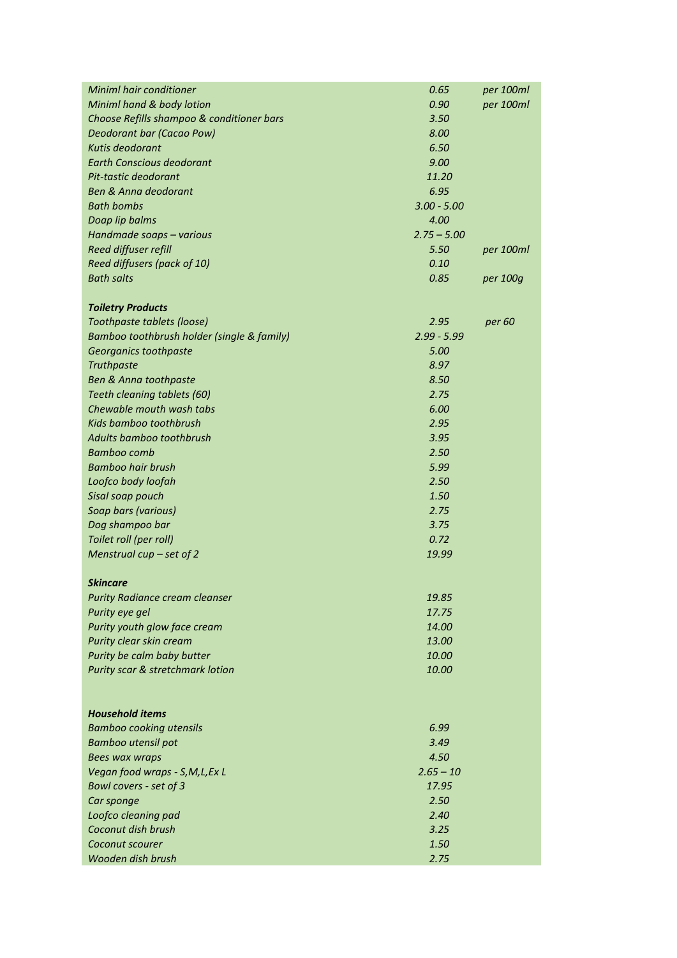| Miniml hand & body lotion<br>0.90<br>per 100ml<br>Choose Refills shampoo & conditioner bars<br>3.50<br>8.00<br>Deodorant bar (Cacao Pow)<br>6.50<br>Kutis deodorant<br><b>Earth Conscious deodorant</b><br>9.00<br>Pit-tastic deodorant<br>11.20<br><b>Ben &amp; Anna deodorant</b><br>6.95<br><b>Bath bombs</b><br>$3.00 - 5.00$<br>Doap lip balms<br>4.00<br>$2.75 - 5.00$<br>Handmade soaps - various<br>Reed diffuser refill<br>5.50<br>per 100ml<br>0.10<br>Reed diffusers (pack of 10)<br><b>Bath salts</b><br>0.85<br>per 100g<br><b>Toiletry Products</b><br>Toothpaste tablets (loose)<br>2.95<br>per 60<br>$2.99 - 5.99$<br>Bamboo toothbrush holder (single & family)<br>5.00<br>Georganics toothpaste<br>8.97<br>Truthpaste<br>Ben & Anna toothpaste<br>8.50<br>2.75<br>Teeth cleaning tablets (60)<br>Chewable mouth wash tabs<br>6.00<br>Kids bamboo toothbrush<br>2.95<br>Adults bamboo toothbrush<br>3.95<br><b>Bamboo comb</b><br>2.50<br><b>Bamboo hair brush</b><br>5.99<br>2.50<br>Loofco body loofah<br>1.50<br>Sisal soap pouch<br>Soap bars (various)<br>2.75<br>3.75<br>Dog shampoo bar<br>0.72<br>Toilet roll (per roll)<br>Menstrual cup $-$ set of 2<br>19.99<br><b>Skincare</b><br><b>Purity Radiance cream cleanser</b><br>19.85<br>Purity eye gel<br>17.75<br>14.00<br>Purity youth glow face cream<br>13.00<br>Purity clear skin cream<br>Purity be calm baby butter<br>10.00<br>10.00<br>Purity scar & stretchmark lotion<br><b>Household items</b><br>6.99<br><b>Bamboo cooking utensils</b><br>3.49<br>Bamboo utensil pot<br>4.50<br><b>Bees wax wraps</b><br>$2.65 - 10$<br>Vegan food wraps - S, M, L, Ex L<br>Bowl covers - set of 3<br>17.95<br>2.50<br>Car sponge<br>2.40<br>Loofco cleaning pad<br>Coconut dish brush<br>3.25<br>1.50<br>Coconut scourer | <b>Miniml hair conditioner</b> | 0.65 | per 100ml |
|--------------------------------------------------------------------------------------------------------------------------------------------------------------------------------------------------------------------------------------------------------------------------------------------------------------------------------------------------------------------------------------------------------------------------------------------------------------------------------------------------------------------------------------------------------------------------------------------------------------------------------------------------------------------------------------------------------------------------------------------------------------------------------------------------------------------------------------------------------------------------------------------------------------------------------------------------------------------------------------------------------------------------------------------------------------------------------------------------------------------------------------------------------------------------------------------------------------------------------------------------------------------------------------------------------------------------------------------------------------------------------------------------------------------------------------------------------------------------------------------------------------------------------------------------------------------------------------------------------------------------------------------------------------------------------------------------------------------------------------------------------------------------------------------------|--------------------------------|------|-----------|
|                                                                                                                                                                                                                                                                                                                                                                                                                                                                                                                                                                                                                                                                                                                                                                                                                                                                                                                                                                                                                                                                                                                                                                                                                                                                                                                                                                                                                                                                                                                                                                                                                                                                                                                                                                                                  |                                |      |           |
|                                                                                                                                                                                                                                                                                                                                                                                                                                                                                                                                                                                                                                                                                                                                                                                                                                                                                                                                                                                                                                                                                                                                                                                                                                                                                                                                                                                                                                                                                                                                                                                                                                                                                                                                                                                                  |                                |      |           |
|                                                                                                                                                                                                                                                                                                                                                                                                                                                                                                                                                                                                                                                                                                                                                                                                                                                                                                                                                                                                                                                                                                                                                                                                                                                                                                                                                                                                                                                                                                                                                                                                                                                                                                                                                                                                  |                                |      |           |
|                                                                                                                                                                                                                                                                                                                                                                                                                                                                                                                                                                                                                                                                                                                                                                                                                                                                                                                                                                                                                                                                                                                                                                                                                                                                                                                                                                                                                                                                                                                                                                                                                                                                                                                                                                                                  |                                |      |           |
|                                                                                                                                                                                                                                                                                                                                                                                                                                                                                                                                                                                                                                                                                                                                                                                                                                                                                                                                                                                                                                                                                                                                                                                                                                                                                                                                                                                                                                                                                                                                                                                                                                                                                                                                                                                                  |                                |      |           |
|                                                                                                                                                                                                                                                                                                                                                                                                                                                                                                                                                                                                                                                                                                                                                                                                                                                                                                                                                                                                                                                                                                                                                                                                                                                                                                                                                                                                                                                                                                                                                                                                                                                                                                                                                                                                  |                                |      |           |
|                                                                                                                                                                                                                                                                                                                                                                                                                                                                                                                                                                                                                                                                                                                                                                                                                                                                                                                                                                                                                                                                                                                                                                                                                                                                                                                                                                                                                                                                                                                                                                                                                                                                                                                                                                                                  |                                |      |           |
|                                                                                                                                                                                                                                                                                                                                                                                                                                                                                                                                                                                                                                                                                                                                                                                                                                                                                                                                                                                                                                                                                                                                                                                                                                                                                                                                                                                                                                                                                                                                                                                                                                                                                                                                                                                                  |                                |      |           |
|                                                                                                                                                                                                                                                                                                                                                                                                                                                                                                                                                                                                                                                                                                                                                                                                                                                                                                                                                                                                                                                                                                                                                                                                                                                                                                                                                                                                                                                                                                                                                                                                                                                                                                                                                                                                  |                                |      |           |
|                                                                                                                                                                                                                                                                                                                                                                                                                                                                                                                                                                                                                                                                                                                                                                                                                                                                                                                                                                                                                                                                                                                                                                                                                                                                                                                                                                                                                                                                                                                                                                                                                                                                                                                                                                                                  |                                |      |           |
|                                                                                                                                                                                                                                                                                                                                                                                                                                                                                                                                                                                                                                                                                                                                                                                                                                                                                                                                                                                                                                                                                                                                                                                                                                                                                                                                                                                                                                                                                                                                                                                                                                                                                                                                                                                                  |                                |      |           |
|                                                                                                                                                                                                                                                                                                                                                                                                                                                                                                                                                                                                                                                                                                                                                                                                                                                                                                                                                                                                                                                                                                                                                                                                                                                                                                                                                                                                                                                                                                                                                                                                                                                                                                                                                                                                  |                                |      |           |
|                                                                                                                                                                                                                                                                                                                                                                                                                                                                                                                                                                                                                                                                                                                                                                                                                                                                                                                                                                                                                                                                                                                                                                                                                                                                                                                                                                                                                                                                                                                                                                                                                                                                                                                                                                                                  |                                |      |           |
|                                                                                                                                                                                                                                                                                                                                                                                                                                                                                                                                                                                                                                                                                                                                                                                                                                                                                                                                                                                                                                                                                                                                                                                                                                                                                                                                                                                                                                                                                                                                                                                                                                                                                                                                                                                                  |                                |      |           |
|                                                                                                                                                                                                                                                                                                                                                                                                                                                                                                                                                                                                                                                                                                                                                                                                                                                                                                                                                                                                                                                                                                                                                                                                                                                                                                                                                                                                                                                                                                                                                                                                                                                                                                                                                                                                  |                                |      |           |
|                                                                                                                                                                                                                                                                                                                                                                                                                                                                                                                                                                                                                                                                                                                                                                                                                                                                                                                                                                                                                                                                                                                                                                                                                                                                                                                                                                                                                                                                                                                                                                                                                                                                                                                                                                                                  |                                |      |           |
|                                                                                                                                                                                                                                                                                                                                                                                                                                                                                                                                                                                                                                                                                                                                                                                                                                                                                                                                                                                                                                                                                                                                                                                                                                                                                                                                                                                                                                                                                                                                                                                                                                                                                                                                                                                                  |                                |      |           |
|                                                                                                                                                                                                                                                                                                                                                                                                                                                                                                                                                                                                                                                                                                                                                                                                                                                                                                                                                                                                                                                                                                                                                                                                                                                                                                                                                                                                                                                                                                                                                                                                                                                                                                                                                                                                  |                                |      |           |
|                                                                                                                                                                                                                                                                                                                                                                                                                                                                                                                                                                                                                                                                                                                                                                                                                                                                                                                                                                                                                                                                                                                                                                                                                                                                                                                                                                                                                                                                                                                                                                                                                                                                                                                                                                                                  |                                |      |           |
|                                                                                                                                                                                                                                                                                                                                                                                                                                                                                                                                                                                                                                                                                                                                                                                                                                                                                                                                                                                                                                                                                                                                                                                                                                                                                                                                                                                                                                                                                                                                                                                                                                                                                                                                                                                                  |                                |      |           |
|                                                                                                                                                                                                                                                                                                                                                                                                                                                                                                                                                                                                                                                                                                                                                                                                                                                                                                                                                                                                                                                                                                                                                                                                                                                                                                                                                                                                                                                                                                                                                                                                                                                                                                                                                                                                  |                                |      |           |
|                                                                                                                                                                                                                                                                                                                                                                                                                                                                                                                                                                                                                                                                                                                                                                                                                                                                                                                                                                                                                                                                                                                                                                                                                                                                                                                                                                                                                                                                                                                                                                                                                                                                                                                                                                                                  |                                |      |           |
|                                                                                                                                                                                                                                                                                                                                                                                                                                                                                                                                                                                                                                                                                                                                                                                                                                                                                                                                                                                                                                                                                                                                                                                                                                                                                                                                                                                                                                                                                                                                                                                                                                                                                                                                                                                                  |                                |      |           |
|                                                                                                                                                                                                                                                                                                                                                                                                                                                                                                                                                                                                                                                                                                                                                                                                                                                                                                                                                                                                                                                                                                                                                                                                                                                                                                                                                                                                                                                                                                                                                                                                                                                                                                                                                                                                  |                                |      |           |
|                                                                                                                                                                                                                                                                                                                                                                                                                                                                                                                                                                                                                                                                                                                                                                                                                                                                                                                                                                                                                                                                                                                                                                                                                                                                                                                                                                                                                                                                                                                                                                                                                                                                                                                                                                                                  |                                |      |           |
|                                                                                                                                                                                                                                                                                                                                                                                                                                                                                                                                                                                                                                                                                                                                                                                                                                                                                                                                                                                                                                                                                                                                                                                                                                                                                                                                                                                                                                                                                                                                                                                                                                                                                                                                                                                                  |                                |      |           |
|                                                                                                                                                                                                                                                                                                                                                                                                                                                                                                                                                                                                                                                                                                                                                                                                                                                                                                                                                                                                                                                                                                                                                                                                                                                                                                                                                                                                                                                                                                                                                                                                                                                                                                                                                                                                  |                                |      |           |
|                                                                                                                                                                                                                                                                                                                                                                                                                                                                                                                                                                                                                                                                                                                                                                                                                                                                                                                                                                                                                                                                                                                                                                                                                                                                                                                                                                                                                                                                                                                                                                                                                                                                                                                                                                                                  |                                |      |           |
|                                                                                                                                                                                                                                                                                                                                                                                                                                                                                                                                                                                                                                                                                                                                                                                                                                                                                                                                                                                                                                                                                                                                                                                                                                                                                                                                                                                                                                                                                                                                                                                                                                                                                                                                                                                                  |                                |      |           |
|                                                                                                                                                                                                                                                                                                                                                                                                                                                                                                                                                                                                                                                                                                                                                                                                                                                                                                                                                                                                                                                                                                                                                                                                                                                                                                                                                                                                                                                                                                                                                                                                                                                                                                                                                                                                  |                                |      |           |
|                                                                                                                                                                                                                                                                                                                                                                                                                                                                                                                                                                                                                                                                                                                                                                                                                                                                                                                                                                                                                                                                                                                                                                                                                                                                                                                                                                                                                                                                                                                                                                                                                                                                                                                                                                                                  |                                |      |           |
|                                                                                                                                                                                                                                                                                                                                                                                                                                                                                                                                                                                                                                                                                                                                                                                                                                                                                                                                                                                                                                                                                                                                                                                                                                                                                                                                                                                                                                                                                                                                                                                                                                                                                                                                                                                                  |                                |      |           |
|                                                                                                                                                                                                                                                                                                                                                                                                                                                                                                                                                                                                                                                                                                                                                                                                                                                                                                                                                                                                                                                                                                                                                                                                                                                                                                                                                                                                                                                                                                                                                                                                                                                                                                                                                                                                  |                                |      |           |
|                                                                                                                                                                                                                                                                                                                                                                                                                                                                                                                                                                                                                                                                                                                                                                                                                                                                                                                                                                                                                                                                                                                                                                                                                                                                                                                                                                                                                                                                                                                                                                                                                                                                                                                                                                                                  |                                |      |           |
|                                                                                                                                                                                                                                                                                                                                                                                                                                                                                                                                                                                                                                                                                                                                                                                                                                                                                                                                                                                                                                                                                                                                                                                                                                                                                                                                                                                                                                                                                                                                                                                                                                                                                                                                                                                                  |                                |      |           |
|                                                                                                                                                                                                                                                                                                                                                                                                                                                                                                                                                                                                                                                                                                                                                                                                                                                                                                                                                                                                                                                                                                                                                                                                                                                                                                                                                                                                                                                                                                                                                                                                                                                                                                                                                                                                  |                                |      |           |
|                                                                                                                                                                                                                                                                                                                                                                                                                                                                                                                                                                                                                                                                                                                                                                                                                                                                                                                                                                                                                                                                                                                                                                                                                                                                                                                                                                                                                                                                                                                                                                                                                                                                                                                                                                                                  |                                |      |           |
|                                                                                                                                                                                                                                                                                                                                                                                                                                                                                                                                                                                                                                                                                                                                                                                                                                                                                                                                                                                                                                                                                                                                                                                                                                                                                                                                                                                                                                                                                                                                                                                                                                                                                                                                                                                                  |                                |      |           |
|                                                                                                                                                                                                                                                                                                                                                                                                                                                                                                                                                                                                                                                                                                                                                                                                                                                                                                                                                                                                                                                                                                                                                                                                                                                                                                                                                                                                                                                                                                                                                                                                                                                                                                                                                                                                  |                                |      |           |
|                                                                                                                                                                                                                                                                                                                                                                                                                                                                                                                                                                                                                                                                                                                                                                                                                                                                                                                                                                                                                                                                                                                                                                                                                                                                                                                                                                                                                                                                                                                                                                                                                                                                                                                                                                                                  |                                |      |           |
|                                                                                                                                                                                                                                                                                                                                                                                                                                                                                                                                                                                                                                                                                                                                                                                                                                                                                                                                                                                                                                                                                                                                                                                                                                                                                                                                                                                                                                                                                                                                                                                                                                                                                                                                                                                                  |                                |      |           |
|                                                                                                                                                                                                                                                                                                                                                                                                                                                                                                                                                                                                                                                                                                                                                                                                                                                                                                                                                                                                                                                                                                                                                                                                                                                                                                                                                                                                                                                                                                                                                                                                                                                                                                                                                                                                  |                                |      |           |
|                                                                                                                                                                                                                                                                                                                                                                                                                                                                                                                                                                                                                                                                                                                                                                                                                                                                                                                                                                                                                                                                                                                                                                                                                                                                                                                                                                                                                                                                                                                                                                                                                                                                                                                                                                                                  |                                |      |           |
|                                                                                                                                                                                                                                                                                                                                                                                                                                                                                                                                                                                                                                                                                                                                                                                                                                                                                                                                                                                                                                                                                                                                                                                                                                                                                                                                                                                                                                                                                                                                                                                                                                                                                                                                                                                                  |                                |      |           |
|                                                                                                                                                                                                                                                                                                                                                                                                                                                                                                                                                                                                                                                                                                                                                                                                                                                                                                                                                                                                                                                                                                                                                                                                                                                                                                                                                                                                                                                                                                                                                                                                                                                                                                                                                                                                  |                                |      |           |
|                                                                                                                                                                                                                                                                                                                                                                                                                                                                                                                                                                                                                                                                                                                                                                                                                                                                                                                                                                                                                                                                                                                                                                                                                                                                                                                                                                                                                                                                                                                                                                                                                                                                                                                                                                                                  |                                |      |           |
|                                                                                                                                                                                                                                                                                                                                                                                                                                                                                                                                                                                                                                                                                                                                                                                                                                                                                                                                                                                                                                                                                                                                                                                                                                                                                                                                                                                                                                                                                                                                                                                                                                                                                                                                                                                                  |                                |      |           |
|                                                                                                                                                                                                                                                                                                                                                                                                                                                                                                                                                                                                                                                                                                                                                                                                                                                                                                                                                                                                                                                                                                                                                                                                                                                                                                                                                                                                                                                                                                                                                                                                                                                                                                                                                                                                  |                                |      |           |
|                                                                                                                                                                                                                                                                                                                                                                                                                                                                                                                                                                                                                                                                                                                                                                                                                                                                                                                                                                                                                                                                                                                                                                                                                                                                                                                                                                                                                                                                                                                                                                                                                                                                                                                                                                                                  |                                |      |           |
|                                                                                                                                                                                                                                                                                                                                                                                                                                                                                                                                                                                                                                                                                                                                                                                                                                                                                                                                                                                                                                                                                                                                                                                                                                                                                                                                                                                                                                                                                                                                                                                                                                                                                                                                                                                                  |                                |      |           |
|                                                                                                                                                                                                                                                                                                                                                                                                                                                                                                                                                                                                                                                                                                                                                                                                                                                                                                                                                                                                                                                                                                                                                                                                                                                                                                                                                                                                                                                                                                                                                                                                                                                                                                                                                                                                  | Wooden dish brush              | 2.75 |           |